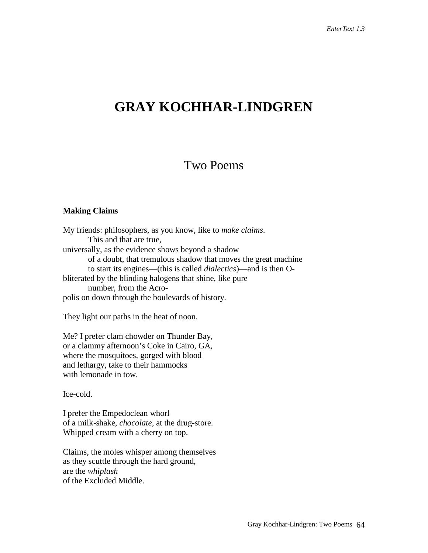# **GRAY KOCHHAR-LINDGREN**

## Two Poems

#### **Making Claims**

My friends: philosophers, as you know, like to *make claims*. This and that are true, universally, as the evidence shows beyond a shadow of a doubt, that tremulous shadow that moves the great machine to start its engines—(this is called *dialectics*)—and is then Obliterated by the blinding halogens that shine, like pure number, from the Acropolis on down through the boulevards of history.

They light our paths in the heat of noon.

Me? I prefer clam chowder on Thunder Bay, or a clammy afternoon's Coke in Cairo, GA, where the mosquitoes, gorged with blood and lethargy, take to their hammocks with lemonade in tow.

Ice-cold.

I prefer the Empedoclean whorl of a milk-shake, *chocolate*, at the drug-store. Whipped cream with a cherry on top.

Claims, the moles whisper among themselves as they scuttle through the hard ground, are the *whiplash* of the Excluded Middle.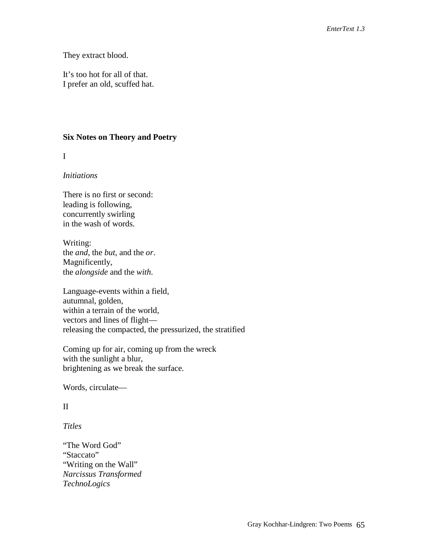They extract blood.

It's too hot for all of that. I prefer an old, scuffed hat.

#### **Six Notes on Theory and Poetry**

I

#### *Initiations*

There is no first or second: leading is following, concurrently swirling in the wash of words.

Writing: the *and*, the *but*, and the *or*. Magnificently, the *alongside* and the *with*.

Language-events within a field, autumnal, golden, within a terrain of the world, vectors and lines of flight releasing the compacted, the pressurized, the stratified

Coming up for air, coming up from the wreck with the sunlight a blur, brightening as we break the surface.

Words, circulate—

#### II

*Titles*

"The Word God" "Staccato" "Writing on the Wall" *Narcissus Transformed TechnoLogics*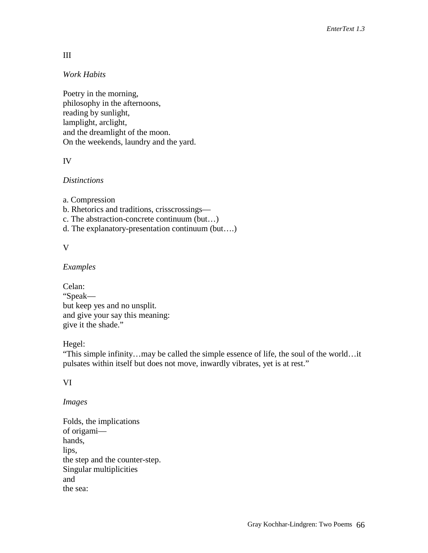## III

#### *Work Habits*

Poetry in the morning, philosophy in the afternoons, reading by sunlight, lamplight, arclight, and the dreamlight of the moon. On the weekends, laundry and the yard.

## IV

#### *Distinctions*

a. Compression

b. Rhetorics and traditions, crisscrossings—

c. The abstraction-concrete continuum (but…)

d. The explanatory-presentation continuum (but….)

#### V

#### *Examples*

Celan: "Speak but keep yes and no unsplit. and give your say this meaning: give it the shade."

## Hegel:

"This simple infinity…may be called the simple essence of life, the soul of the world…it pulsates within itself but does not move, inwardly vibrates, yet is at rest."

## VI

## *Images*

Folds, the implications of origami hands, lips, the step and the counter-step. Singular multiplicities and the sea: